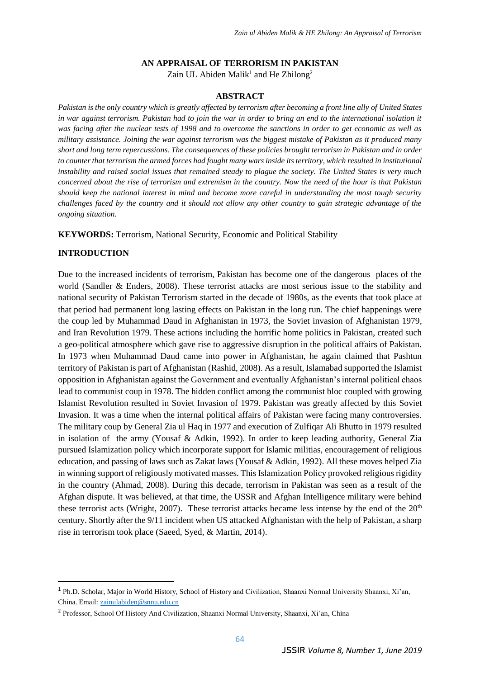#### **AN APPRAISAL OF TERRORISM IN PAKISTAN**

Zain UL Abiden Malik<sup>1</sup> and He Zhilong<sup>2</sup>

## **ABSTRACT**

*Pakistan is the only country which is greatly affected by terrorism after becoming a front line ally of United States in war against terrorism. Pakistan had to join the war in order to bring an end to the international isolation it was facing after the nuclear tests of 1998 and to overcome the sanctions in order to get economic as well as military assistance. Joining the war against terrorism was the biggest mistake of Pakistan as it produced many short and long term repercussions. The consequences of these policies brought terrorism in Pakistan and in order to counter that terrorism the armed forces had fought many wars inside its territory, which resulted in institutional instability and raised social issues that remained steady to plague the society. The United States is very much concerned about the rise of terrorism and extremism in the country. Now the need of the hour is that Pakistan should keep the national interest in mind and become more careful in understanding the most tough security challenges faced by the country and it should not allow any other country to gain strategic advantage of the ongoing situation.*

**KEYWORDS:** Terrorism, National Security, Economic and Political Stability

## **INTRODUCTION**

 $\overline{a}$ 

Due to the increased incidents of terrorism, Pakistan has become one of the dangerous places of the world (Sandler & Enders, 2008). These terrorist attacks are most serious issue to the stability and national security of Pakistan Terrorism started in the decade of 1980s, as the events that took place at that period had permanent long lasting effects on Pakistan in the long run. The chief happenings were the coup led by Muhammad Daud in Afghanistan in 1973, the Soviet invasion of Afghanistan 1979, and Iran Revolution 1979. These actions including the horrific home politics in Pakistan, created such a geo-political atmosphere which gave rise to aggressive disruption in the political affairs of Pakistan. In 1973 when Muhammad Daud came into power in Afghanistan, he again claimed that Pashtun territory of Pakistan is part of Afghanistan (Rashid, 2008). As a result, Islamabad supported the Islamist opposition in Afghanistan against the Government and eventually Afghanistan's internal political chaos lead to communist coup in 1978. The hidden conflict among the communist bloc coupled with growing Islamist Revolution resulted in Soviet Invasion of 1979. Pakistan was greatly affected by this Soviet Invasion. It was a time when the internal political affairs of Pakistan were facing many controversies. The military coup by General Zia ul Haq in 1977 and execution of Zulfiqar Ali Bhutto in 1979 resulted in isolation of the army (Yousaf & Adkin, 1992). In order to keep leading authority, General Zia pursued Islamization policy which incorporate support for Islamic militias, encouragement of religious education, and passing of laws such as Zakat laws (Yousaf & Adkin, 1992). All these moves helped Zia in winning support of religiously motivated masses. This Islamization Policy provoked religious rigidity in the country (Ahmad, 2008). During this decade, terrorism in Pakistan was seen as a result of the Afghan dispute. It was believed, at that time, the USSR and Afghan Intelligence military were behind these terrorist acts (Wright, 2007). These terrorist attacks became less intense by the end of the  $20<sup>th</sup>$ century. Shortly after the 9/11 incident when US attacked Afghanistan with the help of Pakistan, a sharp rise in terrorism took place (Saeed, Syed, & Martin, 2014).

<sup>&</sup>lt;sup>1</sup> Ph.D. Scholar, Major in World History, School of History and Civilization, Shaanxi Normal University Shaanxi, Xi'an, China. Email: [zainulabiden@snnu.edu.cn](mailto:zainulabiden@snnu.edu.cn)

<sup>&</sup>lt;sup>2</sup> Professor, School Of History And Civilization, Shaanxi Normal University, Shaanxi, Xi'an, China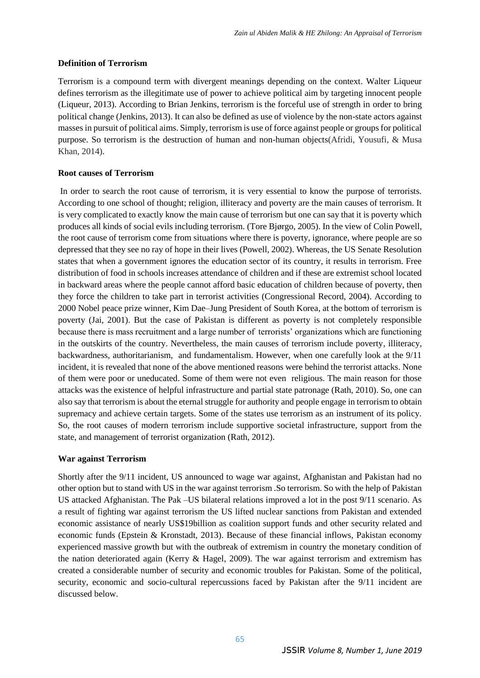## **Definition of Terrorism**

Terrorism is a compound term with divergent meanings depending on the context. Walter Liqueur defines terrorism as the illegitimate use of power to achieve political aim by targeting innocent people (Liqueur, 2013). According to Brian Jenkins, terrorism is the forceful use of strength in order to bring political change (Jenkins, 2013). It can also be defined as use of violence by the non-state actors against masses in pursuit of political aims. Simply, terrorism is use of force against people or groups for political purpose. So terrorism is the destruction of human and non-human objects(Afridi, Yousufi, & Musa Khan, 2014).

# **Root causes of Terrorism**

In order to search the root cause of terrorism, it is very essential to know the purpose of terrorists. According to one school of thought; religion, illiteracy and poverty are the main causes of terrorism. It is very complicated to exactly know the main cause of terrorism but one can say that it is poverty which produces all kinds of social evils including terrorism. (Tore Bjørgo, 2005). In the view of Colin Powell, the root cause of terrorism come from situations where there is poverty, ignorance, where people are so depressed that they see no ray of hope in their lives (Powell, 2002). Whereas, the US Senate Resolution states that when a government ignores the education sector of its country, it results in terrorism. Free distribution of food in schools increases attendance of children and if these are extremist school located in backward areas where the people cannot afford basic education of children because of poverty, then they force the children to take part in terrorist activities (Congressional Record, 2004). According to 2000 Nobel peace prize winner, Kim Dae–Jung President of South Korea, at the bottom of terrorism is poverty (Jai, 2001). But the case of Pakistan is different as poverty is not completely responsible because there is mass recruitment and a large number of terrorists' organizations which are functioning in the outskirts of the country. Nevertheless, the main causes of terrorism include poverty, illiteracy, backwardness, authoritarianism, and fundamentalism. However, when one carefully look at the 9/11 incident, it is revealed that none of the above mentioned reasons were behind the terrorist attacks. None of them were poor or uneducated. Some of them were not even religious. The main reason for those attacks was the existence of helpful infrastructure and partial state patronage (Rath, 2010). So, one can also say that terrorism is about the eternal struggle for authority and people engage in terrorism to obtain supremacy and achieve certain targets. Some of the states use terrorism as an instrument of its policy. So, the root causes of modern terrorism include supportive societal infrastructure, support from the state, and management of terrorist organization (Rath, 2012).

# **War against Terrorism**

Shortly after the 9/11 incident, US announced to wage war against, Afghanistan and Pakistan had no other option but to stand with US in the war against terrorism .So terrorism. So with the help of Pakistan US attacked Afghanistan. The Pak –US bilateral relations improved a lot in the post 9/11 scenario. As a result of fighting war against terrorism the US lifted nuclear sanctions from Pakistan and extended economic assistance of nearly US\$19billion as coalition support funds and other security related and economic funds (Epstein & Kronstadt, 2013). Because of these financial inflows, Pakistan economy experienced massive growth but with the outbreak of extremism in country the monetary condition of the nation deteriorated again (Kerry & Hagel, 2009). The war against terrorism and extremism has created a considerable number of security and economic troubles for Pakistan. Some of the political, security, economic and socio-cultural repercussions faced by Pakistan after the 9/11 incident are discussed below.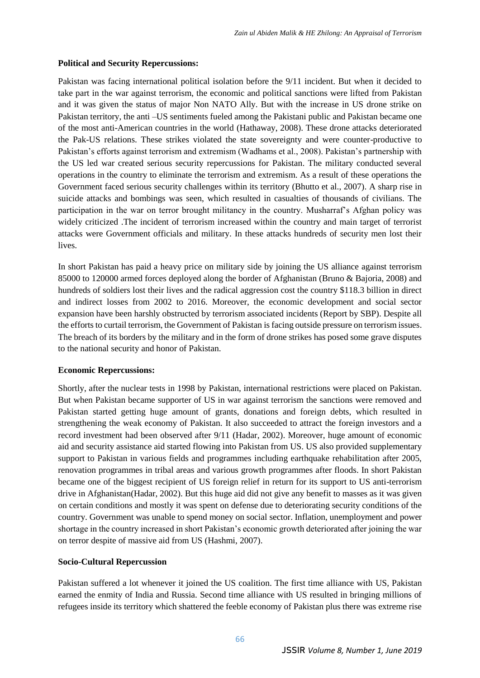## **Political and Security Repercussions:**

Pakistan was facing international political isolation before the 9/11 incident. But when it decided to take part in the war against terrorism, the economic and political sanctions were lifted from Pakistan and it was given the status of major Non NATO Ally. But with the increase in US drone strike on Pakistan territory, the anti –US sentiments fueled among the Pakistani public and Pakistan became one of the most anti-American countries in the world (Hathaway, 2008). These drone attacks deteriorated the Pak-US relations. These strikes violated the state sovereignty and were counter-productive to Pakistan's efforts against terrorism and extremism (Wadhams et al., 2008). Pakistan's partnership with the US led war created serious security repercussions for Pakistan. The military conducted several operations in the country to eliminate the terrorism and extremism. As a result of these operations the Government faced serious security challenges within its territory (Bhutto et al., 2007). A sharp rise in suicide attacks and bombings was seen, which resulted in casualties of thousands of civilians. The participation in the war on terror brought militancy in the country. Musharraf's Afghan policy was widely criticized .The incident of terrorism increased within the country and main target of terrorist attacks were Government officials and military. In these attacks hundreds of security men lost their lives.

In short Pakistan has paid a heavy price on military side by joining the US alliance against terrorism 85000 to 120000 armed forces deployed along the border of Afghanistan (Bruno & Bajoria, 2008) and hundreds of soldiers lost their lives and the radical aggression cost the country \$118.3 billion in direct and indirect losses from 2002 to 2016. Moreover, the economic development and social sector expansion have been harshly obstructed by terrorism associated incidents (Report by SBP). Despite all the efforts to curtail terrorism, the Government of Pakistan is facing outside pressure on terrorism issues. The breach of its borders by the military and in the form of drone strikes has posed some grave disputes to the national security and honor of Pakistan.

#### **Economic Repercussions:**

Shortly, after the nuclear tests in 1998 by Pakistan, international restrictions were placed on Pakistan. But when Pakistan became supporter of US in war against terrorism the sanctions were removed and Pakistan started getting huge amount of grants, donations and foreign debts, which resulted in strengthening the weak economy of Pakistan. It also succeeded to attract the foreign investors and a record investment had been observed after 9/11 (Hadar, 2002). Moreover, huge amount of economic aid and security assistance aid started flowing into Pakistan from US. US also provided supplementary support to Pakistan in various fields and programmes including earthquake rehabilitation after 2005, renovation programmes in tribal areas and various growth programmes after floods. In short Pakistan became one of the biggest recipient of US foreign relief in return for its support to US anti-terrorism drive in Afghanistan(Hadar, 2002). But this huge aid did not give any benefit to masses as it was given on certain conditions and mostly it was spent on defense due to deteriorating security conditions of the country. Government was unable to spend money on social sector. Inflation, unemployment and power shortage in the country increased in short Pakistan's economic growth deteriorated after joining the war on terror despite of massive aid from US (Hashmi, 2007).

#### **Socio-Cultural Repercussion**

Pakistan suffered a lot whenever it joined the US coalition. The first time alliance with US, Pakistan earned the enmity of India and Russia. Second time alliance with US resulted in bringing millions of refugees inside its territory which shattered the feeble economy of Pakistan plus there was extreme rise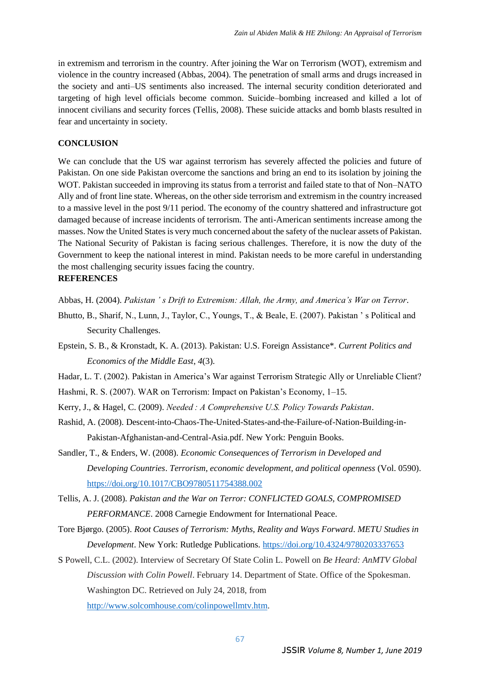in extremism and terrorism in the country. After joining the War on Terrorism (WOT), extremism and violence in the country increased (Abbas, 2004). The penetration of small arms and drugs increased in the society and anti–US sentiments also increased. The internal security condition deteriorated and targeting of high level officials become common. Suicide–bombing increased and killed a lot of innocent civilians and security forces (Tellis, 2008). These suicide attacks and bomb blasts resulted in fear and uncertainty in society.

## **CONCLUSION**

We can conclude that the US war against terrorism has severely affected the policies and future of Pakistan. On one side Pakistan overcome the sanctions and bring an end to its isolation by joining the WOT. Pakistan succeeded in improving its status from a terrorist and failed state to that of Non–NATO Ally and of front line state. Whereas, on the other side terrorism and extremism in the country increased to a massive level in the post 9/11 period. The economy of the country shattered and infrastructure got damaged because of increase incidents of terrorism. The anti-American sentiments increase among the masses. Now the United States is very much concerned about the safety of the nuclear assets of Pakistan. The National Security of Pakistan is facing serious challenges. Therefore, it is now the duty of the Government to keep the national interest in mind. Pakistan needs to be more careful in understanding the most challenging security issues facing the country.

# **REFERENCES**

Abbas, H. (2004). *Pakistan ' s Drift to Extremism: Allah, the Army, and America's War on Terror*.

- Bhutto, B., Sharif, N., Lunn, J., Taylor, C., Youngs, T., & Beale, E. (2007). Pakistan ' s Political and Security Challenges.
- Epstein, S. B., & Kronstadt, K. A. (2013). Pakistan: U.S. Foreign Assistance\*. *Current Politics and Economics of the Middle East*, *4*(3).

Hadar, L. T. (2002). Pakistan in America's War against Terrorism Strategic Ally or Unreliable Client?

- Hashmi, R. S. (2007). WAR on Terrorism: Impact on Pakistan's Economy, 1–15.
- Kerry, J., & Hagel, C. (2009). *Needed : A Comprehensive U.S. Policy Towards Pakistan*.
- Rashid, A. (2008). Descent-into-Chaos-The-United-States-and-the-Failure-of-Nation-Building-in-Pakistan-Afghanistan-and-Central-Asia.pdf. New York: Penguin Books.
- Sandler, T., & Enders, W. (2008). *Economic Consequences of Terrorism in Developed and Developing Countries*. *Terrorism, economic development, and political openness* (Vol. 0590). <https://doi.org/10.1017/CBO9780511754388.002>
- Tellis, A. J. (2008). *Pakistan and the War on Terror: CONFLICTED GOALS, COMPROMISED PERFORMANCE*. 2008 Carnegie Endowment for International Peace.
- Tore Bjørgo. (2005). *Root Causes of Terrorism: Myths, Reality and Ways Forward*. *METU Studies in Development*. New York: Rutledge Publications.<https://doi.org/10.4324/9780203337653>
- S Powell, C.L. (2002). Interview of Secretary Of State Colin L. Powell on *Be Heard: AnMTV Global Discussion with Colin Powell*. February 14. Department of State. Office of the Spokesman. Washington DC. Retrieved on July 24, 2018, from

[http://www.solcomhouse.com/colinpowellmtv.htm.](http://www.solcomhouse.com/colinpowellmtv.htm)